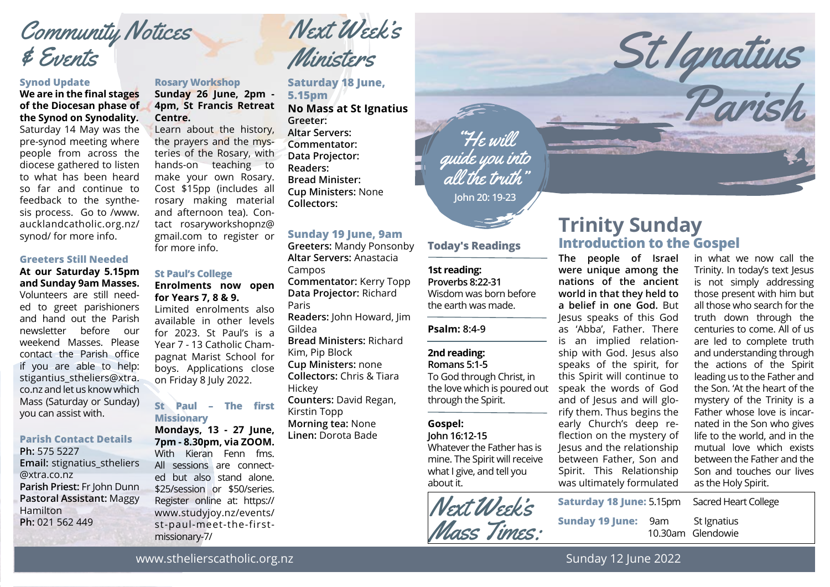# Community Notices & Events

#### **Synod Update**

#### **We are in the final stages of the Diocesan phase of the Synod on Synodality.** Saturday 14 May was the

pre-synod meeting where people from across the diocese gathered to listen to what has been heard so far and continue to feedback to the synthesis process. Go to /www. aucklandcatholic.org.nz/ synod/ for more info.

#### **Greeters Still Needed**

#### **At our Saturday 5.15pm and Sunday 9am Masses.** Volunteers are still needed to greet parishioners and hand out the Parish newsletter before our weekend Masses. Please contact the Parish office if you are able to help: stigantius stheliers@xtra. co.nz and let us know which Mass (Saturday or Sunday) you can assist with.

#### **Parish Contact Details**

**Ph:** 575 5227 **Email:** stignatius\_stheliers @xtra.co.nz **Parish Priest:** Fr John Dunn **Pastoral Assistant:** Maggy Hamilton **Ph:** 021 562 449

#### **Rosary Workshop**

#### **Sunday 26 June, 2pm - 4pm, St Francis Retreat Centre.**

Learn about the history, the prayers and the mysteries of the Rosary, with hands-on teaching to make your own Rosary. Cost \$15pp (includes all rosary making material and afternoon tea). Contact rosaryworkshopnz@ gmail.com to register or for more info.

#### **St Paul's College**

#### **Enrolments now open for Years 7, 8 & 9.**

Limited enrolments also available in other levels for 2023. St Paul's is a Year 7 - 13 Catholic Champagnat Marist School for boys. Applications close on Friday 8 July 2022.

#### **St Paul – The first Missionary**

**Mondays, 13 - 27 June, 7pm - 8.30pm, via ZOOM.** With Kieran Fenn fms. All sessions are connected but also stand alone. \$25/session or \$50/series. Register online at: https:// www.studyjoy.nz/events/ st-paul-meet-the-firstmissionary-7/

Next Week's Ministers

**Saturday 18 June, 5.15pm No Mass at St Ignatius Greeter: Altar Servers: Commentator: Data Projector:**

**Readers: Bread Minister: Cup Ministers:** None **Collectors:** 

#### **Sunday 19 June, 9am**

**Greeters:** Mandy Ponsonby **Altar Servers:** Anastacia Campos **Commentator:** Kerry Topp **Data Projector:** Richard Paris **Readers:** John Howard, Jim Gildea **Bread Ministers:** Richard Kim, Pip Block **Cup Ministers:** none **Collectors:** Chris & Tiara **Hickey Counters:** David Regan, Kirstin Topp **Morning tea:** None **Linen:** Dorota Bade

**John 20: 19-23** "He will guide you into all the truth"

#### **Today's Readings**

#### **1st reading:**

**Proverbs 8:22-31** Wisdom was born before the earth was made.

#### **Psalm: 8:4-9**

#### **2nd reading:**

**Romans 5:1-5** To God through Christ, in the love which is poured out through the Spirit.

#### **Gospel:**

**John 16:12-15** Whatever the Father has is mine. The Spirit will receive what I give, and tell you about it.



## **Trinity Sunday Introduction to the Gospel**

St Ignatius

Parish

**The people of Israel were unique among the nations of the ancient world in that they held to a belief in one God.** But Jesus speaks of this God as 'Abba', Father. There is an implied relationship with God. Jesus also speaks of the spirit, for this Spirit will continue to speak the words of God and of Jesus and will glorify them. Thus begins the early Church's deep reflection on the mystery of Jesus and the relationship between Father, Son and Spirit. This Relationship was ultimately formulated

in what we now call the Trinity. In today's text Jesus is not simply addressing those present with him but all those who search for the truth down through the centuries to come. All of us are led to complete truth and understanding through the actions of the Spirit leading us to the Father and the Son. 'At the heart of the mystery of the Trinity is a Father whose love is incarnated in the Son who gives life to the world, and in the mutual love which exists between the Father and the Son and touches our lives as the Holy Spirit.

**Saturday 18 June:** 5.15pm Sacred Heart College

**Sunday 19 June:** 9am St Ignatius

10.30am Glendowie

www.sthelierscatholic.org.nz

Sunday 12 June 2022